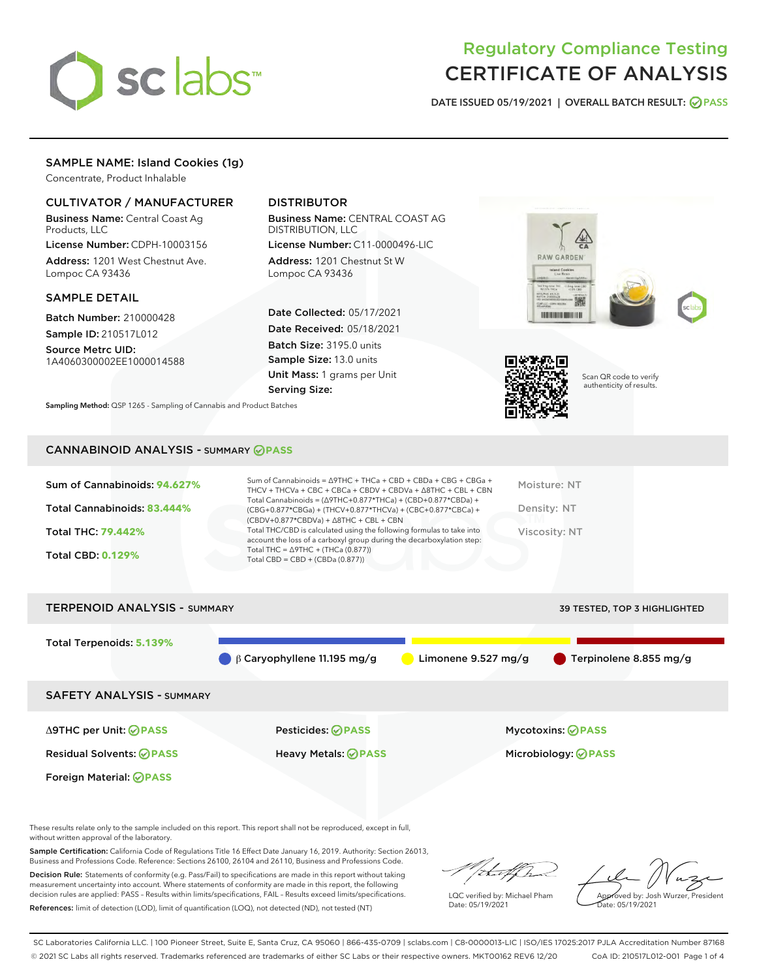

# Regulatory Compliance Testing CERTIFICATE OF ANALYSIS

DATE ISSUED 05/19/2021 | OVERALL BATCH RESULT: @ PASS

## SAMPLE NAME: Island Cookies (1g)

Concentrate, Product Inhalable

### CULTIVATOR / MANUFACTURER

Business Name: Central Coast Ag Products, LLC

License Number: CDPH-10003156 Address: 1201 West Chestnut Ave. Lompoc CA 93436

### SAMPLE DETAIL

Batch Number: 210000428 Sample ID: 210517L012

Source Metrc UID: 1A4060300002EE1000014588

# DISTRIBUTOR

Business Name: CENTRAL COAST AG DISTRIBUTION, LLC

License Number: C11-0000496-LIC Address: 1201 Chestnut St W Lompoc CA 93436

Date Collected: 05/17/2021 Date Received: 05/18/2021 Batch Size: 3195.0 units Sample Size: 13.0 units Unit Mass: 1 grams per Unit Serving Size:





Scan QR code to verify authenticity of results.

Sampling Method: QSP 1265 - Sampling of Cannabis and Product Batches

### CANNABINOID ANALYSIS - SUMMARY **PASS**

| Sum of Cannabinoids: 94.627%<br>Total Cannabinoids: 83.444%<br>Total THC: 79.442%<br><b>Total CBD: 0.129%</b> | Sum of Cannabinoids = $\triangle$ 9THC + THCa + CBD + CBDa + CBG + CBGa +<br>THCV + THCVa + CBC + CBCa + CBDV + CBDVa + $\land$ 8THC + CBL + CBN<br>Total Cannabinoids = $(\Delta$ 9THC+0.877*THCa) + (CBD+0.877*CBDa) +<br>$(CBG+0.877*CBGa) + (THCV+0.877*THCVa) + (CBC+0.877*CBCa) +$<br>$(CBDV+0.877*CBDVa) + \Delta 8THC + CBL + CBN$<br>Total THC/CBD is calculated using the following formulas to take into<br>account the loss of a carboxyl group during the decarboxylation step:<br>Total THC = $\triangle$ 9THC + (THCa (0.877))<br>Total CBD = $CBD + (CBDa (0.877))$ | Moisture: NT<br>Density: NT<br>Viscosity: NT |
|---------------------------------------------------------------------------------------------------------------|-------------------------------------------------------------------------------------------------------------------------------------------------------------------------------------------------------------------------------------------------------------------------------------------------------------------------------------------------------------------------------------------------------------------------------------------------------------------------------------------------------------------------------------------------------------------------------------|----------------------------------------------|
| <b>TERPENOID ANALYSIS - SUMMARY</b>                                                                           |                                                                                                                                                                                                                                                                                                                                                                                                                                                                                                                                                                                     | 39 TESTED, TOP 3 HIGHLIGHTED                 |

Total Terpenoids: **5.139%**  $\bigcirc$  β Caryophyllene 11.195 mg/g  $\bigcirc$  Limonene 9.527 mg/g  $\bigcirc$  Terpinolene 8.855 mg/g SAFETY ANALYSIS - SUMMARY Δ9THC per Unit: **PASS** Pesticides: **PASS** Mycotoxins: **PASS** Residual Solvents: **PASS** Heavy Metals: **PASS** Microbiology: **PASS**

Foreign Material: **PASS**

These results relate only to the sample included on this report. This report shall not be reproduced, except in full, without written approval of the laboratory.

Sample Certification: California Code of Regulations Title 16 Effect Date January 16, 2019. Authority: Section 26013, Business and Professions Code. Reference: Sections 26100, 26104 and 26110, Business and Professions Code.

Decision Rule: Statements of conformity (e.g. Pass/Fail) to specifications are made in this report without taking measurement uncertainty into account. Where statements of conformity are made in this report, the following decision rules are applied: PASS – Results within limits/specifications, FAIL – Results exceed limits/specifications. References: limit of detection (LOD), limit of quantification (LOQ), not detected (ND), not tested (NT)

that f

LQC verified by: Michael Pham Date: 05/19/2021

Approved by: Josh Wurzer, President ate: 05/19/2021

SC Laboratories California LLC. | 100 Pioneer Street, Suite E, Santa Cruz, CA 95060 | 866-435-0709 | sclabs.com | C8-0000013-LIC | ISO/IES 17025:2017 PJLA Accreditation Number 87168 © 2021 SC Labs all rights reserved. Trademarks referenced are trademarks of either SC Labs or their respective owners. MKT00162 REV6 12/20 CoA ID: 210517L012-001 Page 1 of 4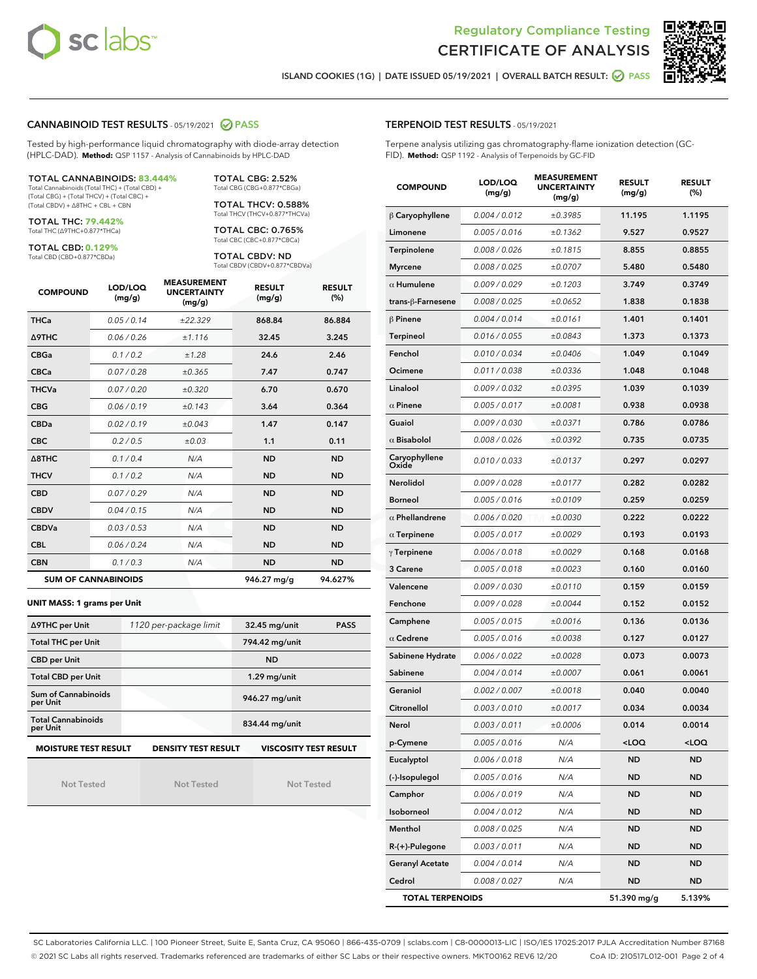



ISLAND COOKIES (1G) | DATE ISSUED 05/19/2021 | OVERALL BATCH RESULT: **● PASS** 

### CANNABINOID TEST RESULTS - 05/19/2021 2 PASS

Tested by high-performance liquid chromatography with diode-array detection (HPLC-DAD). **Method:** QSP 1157 - Analysis of Cannabinoids by HPLC-DAD

TOTAL CANNABINOIDS: **83.444%** Total Cannabinoids (Total THC) + (Total CBD) +

(Total CBG) + (Total THCV) + (Total CBC) + (Total CBDV) + ∆8THC + CBL + CBN

TOTAL THC: **79.442%** Total THC (∆9THC+0.877\*THCa)

TOTAL CBD: **0.129%**

Total CBD (CBD+0.877\*CBDa)

TOTAL CBG: 2.52% Total CBG (CBG+0.877\*CBGa) TOTAL THCV: 0.588%

Total THCV (THCV+0.877\*THCVa)

TOTAL CBC: 0.765% Total CBC (CBC+0.877\*CBCa)

TOTAL CBDV: ND Total CBDV (CBDV+0.877\*CBDVa)

| <b>COMPOUND</b>            | LOD/LOQ<br>(mg/g) | <b>MEASUREMENT</b><br><b>UNCERTAINTY</b><br>(mg/g) | <b>RESULT</b><br>(mg/g) | <b>RESULT</b><br>(%) |
|----------------------------|-------------------|----------------------------------------------------|-------------------------|----------------------|
| <b>THCa</b>                | 0.05/0.14         | ±22.329                                            | 868.84                  | 86.884               |
| <b>A9THC</b>               | 0.06 / 0.26       | ±1.116                                             | 32.45                   | 3.245                |
| <b>CBGa</b>                | 0.1 / 0.2         | ±1.28                                              | 24.6                    | 2.46                 |
| <b>CBCa</b>                | 0.07/0.28         | ±0.365                                             | 7.47                    | 0.747                |
| <b>THCVa</b>               | 0.07/0.20         | ±0.320                                             | 6.70                    | 0.670                |
| <b>CBG</b>                 | 0.06/0.19         | ±0.143                                             | 3.64                    | 0.364                |
| <b>CBDa</b>                | 0.02/0.19         | ±0.043                                             | 1.47                    | 0.147                |
| <b>CBC</b>                 | 0.2 / 0.5         | ±0.03                                              | 1.1                     | 0.11                 |
| A8THC                      | 0.1/0.4           | N/A                                                | <b>ND</b>               | <b>ND</b>            |
| <b>THCV</b>                | 0.1/0.2           | N/A                                                | <b>ND</b>               | <b>ND</b>            |
| <b>CBD</b>                 | 0.07/0.29         | N/A                                                | <b>ND</b>               | <b>ND</b>            |
| <b>CBDV</b>                | 0.04 / 0.15       | N/A                                                | <b>ND</b>               | <b>ND</b>            |
| <b>CBDVa</b>               | 0.03/0.53         | N/A                                                | <b>ND</b>               | <b>ND</b>            |
| <b>CBL</b>                 | 0.06/0.24         | N/A                                                | <b>ND</b>               | <b>ND</b>            |
| <b>CBN</b>                 | 0.1/0.3           | N/A                                                | <b>ND</b>               | <b>ND</b>            |
| <b>SUM OF CANNABINOIDS</b> |                   |                                                    | 946.27 mg/g             | 94.627%              |

#### **UNIT MASS: 1 grams per Unit**

| ∆9THC per Unit                                                                            | 1120 per-package limit | 32.45 mg/unit<br><b>PASS</b> |  |  |  |
|-------------------------------------------------------------------------------------------|------------------------|------------------------------|--|--|--|
| <b>Total THC per Unit</b>                                                                 |                        | 794.42 mg/unit               |  |  |  |
| <b>CBD</b> per Unit                                                                       |                        | <b>ND</b>                    |  |  |  |
| <b>Total CBD per Unit</b>                                                                 |                        | $1.29$ mg/unit               |  |  |  |
| Sum of Cannabinoids<br>per Unit                                                           |                        | 946.27 mg/unit               |  |  |  |
| <b>Total Cannabinoids</b><br>per Unit                                                     |                        | 834.44 mg/unit               |  |  |  |
| <b>MOISTURE TEST RESULT</b><br><b>DENSITY TEST RESULT</b><br><b>VISCOSITY TEST RESULT</b> |                        |                              |  |  |  |

Not Tested

Not Tested

Not Tested

| <b>TERPENOID TEST RESULTS - 05/19/2021</b> |  |
|--------------------------------------------|--|
|--------------------------------------------|--|

Terpene analysis utilizing gas chromatography-flame ionization detection (GC-FID). **Method:** QSP 1192 - Analysis of Terpenoids by GC-FID

| <b>COMPOUND</b>         | LOD/LOQ<br>(mg/g) | <b>MEASUREMENT</b><br><b>UNCERTAINTY</b><br>(mg/g) | <b>RESULT</b><br>(mg/g)                         | <b>RESULT</b><br>$(\%)$ |
|-------------------------|-------------------|----------------------------------------------------|-------------------------------------------------|-------------------------|
| $\beta$ Caryophyllene   | 0.004 / 0.012     | ±0.3985                                            | 11.195                                          | 1.1195                  |
| Limonene                | 0.005 / 0.016     | ±0.1362                                            | 9.527                                           | 0.9527                  |
| Terpinolene             | 0.008 / 0.026     | ±0.1815                                            | 8.855                                           | 0.8855                  |
| <b>Myrcene</b>          | 0.008 / 0.025     | ±0.0707                                            | 5.480                                           | 0.5480                  |
| $\alpha$ Humulene       | 0.009 / 0.029     | ±0.1203                                            | 3.749                                           | 0.3749                  |
| trans-ß-Farnesene       | 0.008 / 0.025     | ±0.0652                                            | 1.838                                           | 0.1838                  |
| $\beta$ Pinene          | 0.004 / 0.014     | ±0.0161                                            | 1.401                                           | 0.1401                  |
| <b>Terpineol</b>        | 0.016 / 0.055     | ±0.0843                                            | 1.373                                           | 0.1373                  |
| Fenchol                 | 0.010 / 0.034     | ±0.0406                                            | 1.049                                           | 0.1049                  |
| Ocimene                 | 0.011 / 0.038     | ±0.0336                                            | 1.048                                           | 0.1048                  |
| Linalool                | 0.009 / 0.032     | ±0.0395                                            | 1.039                                           | 0.1039                  |
| $\alpha$ Pinene         | 0.005 / 0.017     | ±0.0081                                            | 0.938                                           | 0.0938                  |
| Guaiol                  | 0.009 / 0.030     | ±0.0371                                            | 0.786                                           | 0.0786                  |
| $\alpha$ Bisabolol      | 0.008 / 0.026     | ±0.0392                                            | 0.735                                           | 0.0735                  |
| Caryophyllene<br>Oxide  | 0.010 / 0.033     | ±0.0137                                            | 0.297                                           | 0.0297                  |
| <b>Nerolidol</b>        | 0.009 / 0.028     | ±0.0177                                            | 0.282                                           | 0.0282                  |
| <b>Borneol</b>          | 0.005 / 0.016     | ±0.0109                                            | 0.259                                           | 0.0259                  |
| $\alpha$ Phellandrene   | 0.006 / 0.020     | ±0.0030                                            | 0.222                                           | 0.0222                  |
| $\alpha$ Terpinene      | 0.005 / 0.017     | ±0.0029                                            | 0.193                                           | 0.0193                  |
| $\gamma$ Terpinene      | 0.006 / 0.018     | ±0.0029                                            | 0.168                                           | 0.0168                  |
| 3 Carene                | 0.005 / 0.018     | ±0.0023                                            | 0.160                                           | 0.0160                  |
| Valencene               | 0.009 / 0.030     | ±0.0110                                            | 0.159                                           | 0.0159                  |
| Fenchone                | 0.009 / 0.028     | ±0.0044                                            | 0.152                                           | 0.0152                  |
| Camphene                | 0.005 / 0.015     | ±0.0016                                            | 0.136                                           | 0.0136                  |
| $\alpha$ Cedrene        | 0.005 / 0.016     | ±0.0038                                            | 0.127                                           | 0.0127                  |
| Sabinene Hydrate        | 0.006 / 0.022     | ±0.0028                                            | 0.073                                           | 0.0073                  |
| Sabinene                | 0.004 / 0.014     | ±0.0007                                            | 0.061                                           | 0.0061                  |
| Geraniol                | 0.002 / 0.007     | ±0.0018                                            | 0.040                                           | 0.0040                  |
| Citronellol             | 0.003 / 0.010     | ±0.0017                                            | 0.034                                           | 0.0034                  |
| Nerol                   | 0.003 / 0.011     | ±0.0006                                            | 0.014                                           | 0.0014                  |
| p-Cymene                | 0.005 / 0.016     | N/A                                                | <loq< th=""><th><loq< th=""></loq<></th></loq<> | <loq< th=""></loq<>     |
| Eucalyptol              | 0.006 / 0.018     | N/A                                                | ND                                              | <b>ND</b>               |
| (-)-Isopulegol          | 0.005 / 0.016     | N/A                                                | ND                                              | <b>ND</b>               |
| Camphor                 | 0.006 / 0.019     | N/A                                                | ND                                              | <b>ND</b>               |
| Isoborneol              | 0.004 / 0.012     | N/A                                                | ND                                              | <b>ND</b>               |
| Menthol                 | 0.008 / 0.025     | N/A                                                | ND                                              | <b>ND</b>               |
| R-(+)-Pulegone          | 0.003 / 0.011     | N/A                                                | ND                                              | <b>ND</b>               |
| <b>Geranyl Acetate</b>  | 0.004 / 0.014     | N/A                                                | ND                                              | <b>ND</b>               |
| Cedrol                  | 0.008 / 0.027     | N/A                                                | ND                                              | <b>ND</b>               |
| <b>TOTAL TERPENOIDS</b> |                   |                                                    | 51.390 mg/g                                     | 5.139%                  |

SC Laboratories California LLC. | 100 Pioneer Street, Suite E, Santa Cruz, CA 95060 | 866-435-0709 | sclabs.com | C8-0000013-LIC | ISO/IES 17025:2017 PJLA Accreditation Number 87168 © 2021 SC Labs all rights reserved. Trademarks referenced are trademarks of either SC Labs or their respective owners. MKT00162 REV6 12/20 CoA ID: 210517L012-001 Page 2 of 4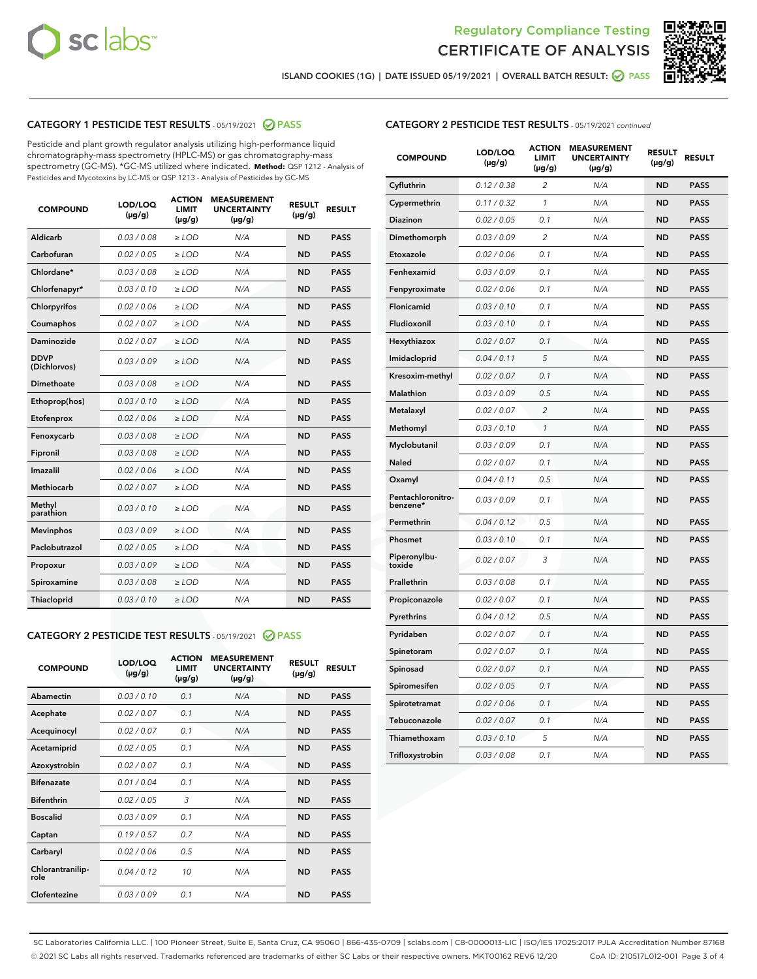



ISLAND COOKIES (1G) | DATE ISSUED 05/19/2021 | OVERALL BATCH RESULT: ● PASS

# CATEGORY 1 PESTICIDE TEST RESULTS - 05/19/2021 2 PASS

Pesticide and plant growth regulator analysis utilizing high-performance liquid chromatography-mass spectrometry (HPLC-MS) or gas chromatography-mass spectrometry (GC-MS). \*GC-MS utilized where indicated. **Method:** QSP 1212 - Analysis of Pesticides and Mycotoxins by LC-MS or QSP 1213 - Analysis of Pesticides by GC-MS

| 0.03/0.08<br><b>ND</b><br>Aldicarb<br>$>$ LOD<br>N/A<br><b>PASS</b><br>Carbofuran<br>0.02 / 0.05<br><b>ND</b><br><b>PASS</b><br>$>$ LOD<br>N/A<br>Chlordane*<br>0.03 / 0.08<br>N/A<br><b>ND</b><br><b>PASS</b><br>$\ge$ LOD<br>Chlorfenapyr*<br>0.03/0.10<br><b>ND</b><br><b>PASS</b><br>$\ge$ LOD<br>N/A<br>N/A<br><b>ND</b><br><b>PASS</b><br>Chlorpyrifos<br>0.02 / 0.06<br>$\ge$ LOD<br>Coumaphos<br>0.02 / 0.07<br>N/A<br><b>ND</b><br><b>PASS</b><br>$\ge$ LOD<br>Daminozide<br>0.02 / 0.07<br>N/A<br><b>ND</b><br><b>PASS</b><br>$\ge$ LOD<br><b>DDVP</b><br>0.03/0.09<br>$>$ LOD<br>N/A<br><b>ND</b><br><b>PASS</b><br>(Dichlorvos)<br>Dimethoate<br>0.03/0.08<br>$>$ LOD<br>N/A<br><b>ND</b><br><b>PASS</b><br>0.03/0.10<br><b>ND</b><br><b>PASS</b><br>Ethoprop(hos)<br>$\ge$ LOD<br>N/A<br>0.02 / 0.06<br>N/A<br><b>ND</b><br><b>PASS</b><br>Etofenprox<br>$\ge$ LOD<br>Fenoxycarb<br>0.03 / 0.08<br>N/A<br><b>ND</b><br><b>PASS</b><br>$\ge$ LOD<br>0.03/0.08<br><b>ND</b><br><b>PASS</b><br>Fipronil<br>$\ge$ LOD<br>N/A<br>Imazalil<br>0.02 / 0.06<br>$\ge$ LOD<br>N/A<br><b>ND</b><br><b>PASS</b><br>Methiocarb<br>0.02 / 0.07<br><b>PASS</b><br>$\ge$ LOD<br>N/A<br><b>ND</b><br>Methyl<br>0.03/0.10<br>$\ge$ LOD<br>N/A<br><b>ND</b><br><b>PASS</b><br>parathion<br>0.03/0.09<br><b>ND</b><br><b>Mevinphos</b><br>$\ge$ LOD<br>N/A<br><b>PASS</b><br>Paclobutrazol<br>0.02 / 0.05<br>$\ge$ LOD<br>N/A<br><b>ND</b><br><b>PASS</b><br>0.03/0.09<br>$\ge$ LOD<br>N/A<br><b>ND</b><br><b>PASS</b><br>Propoxur<br>Spiroxamine<br>0.03 / 0.08<br>$\ge$ LOD<br>N/A<br><b>ND</b><br><b>PASS</b><br>0.03/0.10<br><b>ND</b><br><b>PASS</b><br><b>Thiacloprid</b><br>$\ge$ LOD<br>N/A | <b>COMPOUND</b> | LOD/LOQ<br>$(\mu g/g)$ | <b>ACTION</b><br>LIMIT<br>$(\mu g/g)$ | <b>MEASUREMENT</b><br><b>UNCERTAINTY</b><br>$(\mu g/g)$ | <b>RESULT</b><br>$(\mu g/g)$ | <b>RESULT</b> |
|----------------------------------------------------------------------------------------------------------------------------------------------------------------------------------------------------------------------------------------------------------------------------------------------------------------------------------------------------------------------------------------------------------------------------------------------------------------------------------------------------------------------------------------------------------------------------------------------------------------------------------------------------------------------------------------------------------------------------------------------------------------------------------------------------------------------------------------------------------------------------------------------------------------------------------------------------------------------------------------------------------------------------------------------------------------------------------------------------------------------------------------------------------------------------------------------------------------------------------------------------------------------------------------------------------------------------------------------------------------------------------------------------------------------------------------------------------------------------------------------------------------------------------------------------------------------------------------------------------------------------------------------------------------------------------------------|-----------------|------------------------|---------------------------------------|---------------------------------------------------------|------------------------------|---------------|
|                                                                                                                                                                                                                                                                                                                                                                                                                                                                                                                                                                                                                                                                                                                                                                                                                                                                                                                                                                                                                                                                                                                                                                                                                                                                                                                                                                                                                                                                                                                                                                                                                                                                                              |                 |                        |                                       |                                                         |                              |               |
|                                                                                                                                                                                                                                                                                                                                                                                                                                                                                                                                                                                                                                                                                                                                                                                                                                                                                                                                                                                                                                                                                                                                                                                                                                                                                                                                                                                                                                                                                                                                                                                                                                                                                              |                 |                        |                                       |                                                         |                              |               |
|                                                                                                                                                                                                                                                                                                                                                                                                                                                                                                                                                                                                                                                                                                                                                                                                                                                                                                                                                                                                                                                                                                                                                                                                                                                                                                                                                                                                                                                                                                                                                                                                                                                                                              |                 |                        |                                       |                                                         |                              |               |
|                                                                                                                                                                                                                                                                                                                                                                                                                                                                                                                                                                                                                                                                                                                                                                                                                                                                                                                                                                                                                                                                                                                                                                                                                                                                                                                                                                                                                                                                                                                                                                                                                                                                                              |                 |                        |                                       |                                                         |                              |               |
|                                                                                                                                                                                                                                                                                                                                                                                                                                                                                                                                                                                                                                                                                                                                                                                                                                                                                                                                                                                                                                                                                                                                                                                                                                                                                                                                                                                                                                                                                                                                                                                                                                                                                              |                 |                        |                                       |                                                         |                              |               |
|                                                                                                                                                                                                                                                                                                                                                                                                                                                                                                                                                                                                                                                                                                                                                                                                                                                                                                                                                                                                                                                                                                                                                                                                                                                                                                                                                                                                                                                                                                                                                                                                                                                                                              |                 |                        |                                       |                                                         |                              |               |
|                                                                                                                                                                                                                                                                                                                                                                                                                                                                                                                                                                                                                                                                                                                                                                                                                                                                                                                                                                                                                                                                                                                                                                                                                                                                                                                                                                                                                                                                                                                                                                                                                                                                                              |                 |                        |                                       |                                                         |                              |               |
|                                                                                                                                                                                                                                                                                                                                                                                                                                                                                                                                                                                                                                                                                                                                                                                                                                                                                                                                                                                                                                                                                                                                                                                                                                                                                                                                                                                                                                                                                                                                                                                                                                                                                              |                 |                        |                                       |                                                         |                              |               |
|                                                                                                                                                                                                                                                                                                                                                                                                                                                                                                                                                                                                                                                                                                                                                                                                                                                                                                                                                                                                                                                                                                                                                                                                                                                                                                                                                                                                                                                                                                                                                                                                                                                                                              |                 |                        |                                       |                                                         |                              |               |
|                                                                                                                                                                                                                                                                                                                                                                                                                                                                                                                                                                                                                                                                                                                                                                                                                                                                                                                                                                                                                                                                                                                                                                                                                                                                                                                                                                                                                                                                                                                                                                                                                                                                                              |                 |                        |                                       |                                                         |                              |               |
|                                                                                                                                                                                                                                                                                                                                                                                                                                                                                                                                                                                                                                                                                                                                                                                                                                                                                                                                                                                                                                                                                                                                                                                                                                                                                                                                                                                                                                                                                                                                                                                                                                                                                              |                 |                        |                                       |                                                         |                              |               |
|                                                                                                                                                                                                                                                                                                                                                                                                                                                                                                                                                                                                                                                                                                                                                                                                                                                                                                                                                                                                                                                                                                                                                                                                                                                                                                                                                                                                                                                                                                                                                                                                                                                                                              |                 |                        |                                       |                                                         |                              |               |
|                                                                                                                                                                                                                                                                                                                                                                                                                                                                                                                                                                                                                                                                                                                                                                                                                                                                                                                                                                                                                                                                                                                                                                                                                                                                                                                                                                                                                                                                                                                                                                                                                                                                                              |                 |                        |                                       |                                                         |                              |               |
|                                                                                                                                                                                                                                                                                                                                                                                                                                                                                                                                                                                                                                                                                                                                                                                                                                                                                                                                                                                                                                                                                                                                                                                                                                                                                                                                                                                                                                                                                                                                                                                                                                                                                              |                 |                        |                                       |                                                         |                              |               |
|                                                                                                                                                                                                                                                                                                                                                                                                                                                                                                                                                                                                                                                                                                                                                                                                                                                                                                                                                                                                                                                                                                                                                                                                                                                                                                                                                                                                                                                                                                                                                                                                                                                                                              |                 |                        |                                       |                                                         |                              |               |
|                                                                                                                                                                                                                                                                                                                                                                                                                                                                                                                                                                                                                                                                                                                                                                                                                                                                                                                                                                                                                                                                                                                                                                                                                                                                                                                                                                                                                                                                                                                                                                                                                                                                                              |                 |                        |                                       |                                                         |                              |               |
|                                                                                                                                                                                                                                                                                                                                                                                                                                                                                                                                                                                                                                                                                                                                                                                                                                                                                                                                                                                                                                                                                                                                                                                                                                                                                                                                                                                                                                                                                                                                                                                                                                                                                              |                 |                        |                                       |                                                         |                              |               |
|                                                                                                                                                                                                                                                                                                                                                                                                                                                                                                                                                                                                                                                                                                                                                                                                                                                                                                                                                                                                                                                                                                                                                                                                                                                                                                                                                                                                                                                                                                                                                                                                                                                                                              |                 |                        |                                       |                                                         |                              |               |
|                                                                                                                                                                                                                                                                                                                                                                                                                                                                                                                                                                                                                                                                                                                                                                                                                                                                                                                                                                                                                                                                                                                                                                                                                                                                                                                                                                                                                                                                                                                                                                                                                                                                                              |                 |                        |                                       |                                                         |                              |               |
|                                                                                                                                                                                                                                                                                                                                                                                                                                                                                                                                                                                                                                                                                                                                                                                                                                                                                                                                                                                                                                                                                                                                                                                                                                                                                                                                                                                                                                                                                                                                                                                                                                                                                              |                 |                        |                                       |                                                         |                              |               |
|                                                                                                                                                                                                                                                                                                                                                                                                                                                                                                                                                                                                                                                                                                                                                                                                                                                                                                                                                                                                                                                                                                                                                                                                                                                                                                                                                                                                                                                                                                                                                                                                                                                                                              |                 |                        |                                       |                                                         |                              |               |

# CATEGORY 2 PESTICIDE TEST RESULTS - 05/19/2021 @ PASS

| <b>COMPOUND</b>          | LOD/LOO<br>$(\mu g/g)$ | <b>ACTION</b><br>LIMIT<br>$(\mu g/g)$ | <b>MEASUREMENT</b><br><b>UNCERTAINTY</b><br>$(\mu g/g)$ | <b>RESULT</b><br>$(\mu g/g)$ | <b>RESULT</b> |  |
|--------------------------|------------------------|---------------------------------------|---------------------------------------------------------|------------------------------|---------------|--|
| Abamectin                | 0.03/0.10              | 0.1                                   | N/A                                                     | <b>ND</b>                    | <b>PASS</b>   |  |
| Acephate                 | 0.02/0.07              | 0.1                                   | N/A                                                     | <b>ND</b>                    | <b>PASS</b>   |  |
| Acequinocyl              | 0.02/0.07              | 0.1                                   | N/A                                                     | <b>ND</b>                    | <b>PASS</b>   |  |
| Acetamiprid              | 0.02/0.05              | 0.1                                   | N/A                                                     | <b>ND</b>                    | <b>PASS</b>   |  |
| Azoxystrobin             | 0.02/0.07              | 0.1                                   | N/A                                                     | <b>ND</b>                    | <b>PASS</b>   |  |
| <b>Bifenazate</b>        | 0.01/0.04              | 0.1                                   | N/A                                                     | <b>ND</b>                    | <b>PASS</b>   |  |
| <b>Bifenthrin</b>        | 0.02/0.05              | 3                                     | N/A                                                     | <b>ND</b>                    | <b>PASS</b>   |  |
| <b>Boscalid</b>          | 0.03/0.09              | 0.1                                   | N/A                                                     | <b>ND</b>                    | <b>PASS</b>   |  |
| Captan                   | 0.19/0.57              | 0.7                                   | N/A                                                     | <b>ND</b>                    | <b>PASS</b>   |  |
| Carbaryl                 | 0.02/0.06              | 0.5                                   | N/A                                                     | <b>ND</b>                    | <b>PASS</b>   |  |
| Chlorantranilip-<br>role | 0.04/0.12              | 10                                    | N/A                                                     | <b>ND</b>                    | <b>PASS</b>   |  |
| Clofentezine             | 0.03/0.09              | 0.1                                   | N/A                                                     | <b>ND</b>                    | <b>PASS</b>   |  |

### CATEGORY 2 PESTICIDE TEST RESULTS - 05/19/2021 continued

| <b>COMPOUND</b>               | LOD/LOQ<br>(µg/g) | <b>ACTION</b><br>LIMIT<br>(µg/g) | <b>MEASUREMENT</b><br><b>UNCERTAINTY</b><br>(µg/g) | <b>RESULT</b><br>$(\mu g/g)$ | <b>RESULT</b> |
|-------------------------------|-------------------|----------------------------------|----------------------------------------------------|------------------------------|---------------|
| Cyfluthrin                    | 0.12 / 0.38       | $\overline{2}$                   | N/A                                                | <b>ND</b>                    | <b>PASS</b>   |
| Cypermethrin                  | 0.11 / 0.32       | 1                                | N/A                                                | <b>ND</b>                    | <b>PASS</b>   |
| Diazinon                      | 0.02 / 0.05       | 0.1                              | N/A                                                | <b>ND</b>                    | <b>PASS</b>   |
| Dimethomorph                  | 0.03 / 0.09       | $\overline{c}$                   | N/A                                                | <b>ND</b>                    | <b>PASS</b>   |
| Etoxazole                     | 0.02 / 0.06       | 0.1                              | N/A                                                | <b>ND</b>                    | <b>PASS</b>   |
| Fenhexamid                    | 0.03 / 0.09       | 0.1                              | N/A                                                | <b>ND</b>                    | <b>PASS</b>   |
| Fenpyroximate                 | 0.02 / 0.06       | 0.1                              | N/A                                                | <b>ND</b>                    | <b>PASS</b>   |
| Flonicamid                    | 0.03 / 0.10       | 0.1                              | N/A                                                | <b>ND</b>                    | <b>PASS</b>   |
| Fludioxonil                   | 0.03 / 0.10       | 0.1                              | N/A                                                | <b>ND</b>                    | <b>PASS</b>   |
| Hexythiazox                   | 0.02 / 0.07       | 0.1                              | N/A                                                | <b>ND</b>                    | <b>PASS</b>   |
| Imidacloprid                  | 0.04 / 0.11       | 5                                | N/A                                                | <b>ND</b>                    | <b>PASS</b>   |
| Kresoxim-methyl               | 0.02 / 0.07       | 0.1                              | N/A                                                | <b>ND</b>                    | <b>PASS</b>   |
| Malathion                     | 0.03 / 0.09       | 0.5                              | N/A                                                | <b>ND</b>                    | <b>PASS</b>   |
| Metalaxyl                     | 0.02 / 0.07       | $\overline{c}$                   | N/A                                                | ND                           | <b>PASS</b>   |
| Methomyl                      | 0.03 / 0.10       | $\mathbf{1}$                     | N/A                                                | <b>ND</b>                    | <b>PASS</b>   |
| Myclobutanil                  | 0.03 / 0.09       | 0.1                              | N/A                                                | <b>ND</b>                    | <b>PASS</b>   |
| Naled                         | 0.02 / 0.07       | 0.1                              | N/A                                                | <b>ND</b>                    | <b>PASS</b>   |
| Oxamyl                        | 0.04 / 0.11       | 0.5                              | N/A                                                | <b>ND</b>                    | <b>PASS</b>   |
| Pentachloronitro-<br>benzene* | 0.03 / 0.09       | 0.1                              | N/A                                                | ND                           | <b>PASS</b>   |
| Permethrin                    | 0.04 / 0.12       | 0.5                              | N/A                                                | <b>ND</b>                    | <b>PASS</b>   |
| Phosmet                       | 0.03 / 0.10       | 0.1                              | N/A                                                | <b>ND</b>                    | <b>PASS</b>   |
| Piperonylbu-<br>toxide        | 0.02 / 0.07       | 3                                | N/A                                                | <b>ND</b>                    | <b>PASS</b>   |
| Prallethrin                   | 0.03 / 0.08       | 0.1                              | N/A                                                | <b>ND</b>                    | <b>PASS</b>   |
| Propiconazole                 | 0.02 / 0.07       | 0.1                              | N/A                                                | <b>ND</b>                    | <b>PASS</b>   |
| Pyrethrins                    | 0.04 / 0.12       | 0.5                              | N/A                                                | <b>ND</b>                    | <b>PASS</b>   |
| Pyridaben                     | 0.02 / 0.07       | 0.1                              | N/A                                                | <b>ND</b>                    | <b>PASS</b>   |
| Spinetoram                    | 0.02 / 0.07       | 0.1                              | N/A                                                | <b>ND</b>                    | <b>PASS</b>   |
| Spinosad                      | 0.02 / 0.07       | 0.1                              | N/A                                                | <b>ND</b>                    | <b>PASS</b>   |
| Spiromesifen                  | 0.02 / 0.05       | 0.1                              | N/A                                                | <b>ND</b>                    | <b>PASS</b>   |
| Spirotetramat                 | 0.02 / 0.06       | 0.1                              | N/A                                                | <b>ND</b>                    | <b>PASS</b>   |
| Tebuconazole                  | 0.02 / 0.07       | 0.1                              | N/A                                                | <b>ND</b>                    | <b>PASS</b>   |
| Thiamethoxam                  | 0.03 / 0.10       | 5                                | N/A                                                | <b>ND</b>                    | <b>PASS</b>   |
| Trifloxystrobin               | 0.03 / 0.08       | 0.1                              | N/A                                                | <b>ND</b>                    | <b>PASS</b>   |

SC Laboratories California LLC. | 100 Pioneer Street, Suite E, Santa Cruz, CA 95060 | 866-435-0709 | sclabs.com | C8-0000013-LIC | ISO/IES 17025:2017 PJLA Accreditation Number 87168 © 2021 SC Labs all rights reserved. Trademarks referenced are trademarks of either SC Labs or their respective owners. MKT00162 REV6 12/20 CoA ID: 210517L012-001 Page 3 of 4